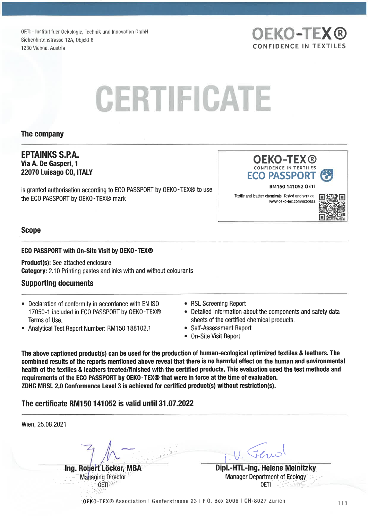OETI - Institut fuer Oekologie, Technik und Innovation GmbH Siebenhirtenstrasse 12A, Objekt 8 1230 Vienna, Austria CONFIDENCE IN TEXTILES

# **CERTIFICATE**

#### The Company

#### EPTAINKS S.P.A. Via A. De Gasperi, 1 22070 Luisago CO, ITALY

is granted authorisation according to ECO PASSPORT by OEKO-TEX® to use the ECO PASSPORT by OEKO-TEX<sup>®</sup> mark

**ECO PASSPOR** RM150 141052 OETI Textile and leather chemicals. Tested and verified. www. oeko-tex. com/ecopass

OEKO-TEX® CONFIDENCE IN TEXTILES

**OEKO-TEX®** 



#### Scope

#### EGO PASSPORT with On-Site Visit by OEKO-TEX®

Product(s): See attached enclosure Category: 2. 10 Printing pastes and inks with and without colourants

#### Supporting documents

- . Declaration of conformity in accordance with EN ISO 17050-1 included in ECO PASSPORT by OEKO-TEX® Terms of Use.
- . Analytical Test Report Number: RM150 188102.1
- RSL Screening Report
- Detailed information about the components and safety data sheets of the certified chemical products.
- Self-Assessment Report
- On-Site Visit Report  $\bullet$

The above captioned product(s) can be used for the production of human-ecological optimized textiles & leathers. The combined results of the reports mentioned above reveal that there is no harmful effect on the human and environmental health of the textiles & leathers treated/finished with the certified products. This evaluation used the test methods and requirements of the EGO PASSPORT by OEKO-TEX® that were in force at the time of evaluation. ZDHC MRSL 2.0 Conformance Level 3 is achieved for certified product(s) without restriction(s).

#### The certificate RM150141052 is valid until 31.07. 2022

| Wien, 25.08.2021         |                                      |
|--------------------------|--------------------------------------|
|                          |                                      |
| Ing. Robert Löcker, MBA  | Dipl.-HTL-Ing. Helene Melnitzky      |
| <b>Managing Director</b> | <b>Manager Department of Ecology</b> |
|                          | OETI                                 |
|                          |                                      |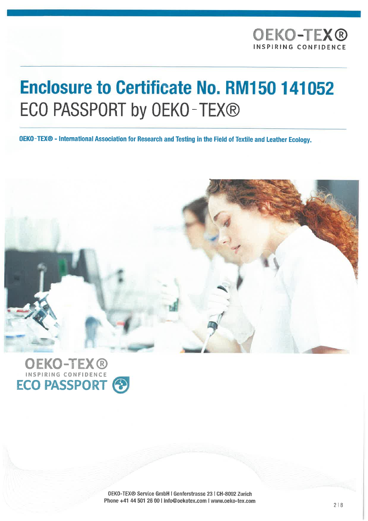# **Enclosure to Certificate No. RM150 141052** ECO PASSPORT by OEKO-TEX®

OEKO-TEX® - International Association for Research and Testing in the Field of Textile and Leather Ecology.





OEKO-TEX® Service GmbH l Genferstrasse 23 l CH-8002 Zürich Phone +41 44 501 26 00 | info@oekotex.com | www.oeko-tex.com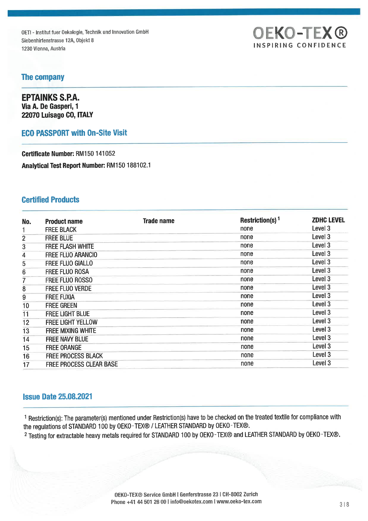OETI - Institut fuer Oekologie, Technik und Innovation GmbH Siebenhirtenstrasse 12A, Objekt 8 1230 Vienna, Austria

## **OEKO-TEX®** INSPIRING CONFIDENCE

#### The Company

EPTAINKS S.P.A. Via A. De Gasperi, 1 22070 Luisago CO, ITALY

#### EGO PASSPORT with On-Site Visit

Certificate Number: RM150 141052 Analytical Test Report Number: RM150 188102.1

#### Certified Products

| No.            | <b>Product name</b>       | Trade name | Restriction(s) <sup>1</sup> | <b>ZDHC LEVEL</b> |
|----------------|---------------------------|------------|-----------------------------|-------------------|
|                | <b>FREE BLACK</b>         |            | none                        | Level 3           |
| $\mathbf{2}$   | <b>FREE BLUE</b>          |            | none                        | Level 3           |
| 3              | <b>FREE FLASH WHITE</b>   |            | none                        | Level 3           |
| 4              | <b>FREE FLUO ARANCIO</b>  |            | none                        | Level 3           |
| 5              | <b>FREE FLUO GIALLO</b>   |            | none                        | Level 3           |
| 6              | <b>FREE FLUO ROSA</b>     |            | none                        | Level 3           |
| $\overline{7}$ | <b>FREE FLUO ROSSO</b>    |            | none                        | Level 3           |
| 8              | FREE FLUO VERDE           |            | none                        | Level 3           |
| 9              | <b>FREE FUXIA</b>         |            | none                        | Level 3           |
| 10             | <b>FREE GREEN</b>         |            | none                        | Level 3           |
| 11             | <b>FREE LIGHT BLUE</b>    |            | none                        | Level 3           |
| 12             | <b>FREE LIGHT YELLOW</b>  |            | none                        | Level 3           |
| 13             | <b>FREE MIXING WHITE</b>  |            | none                        | Level 3           |
| 14             | FREE NAVY BLUE            |            | none                        | Level 3           |
| 15             | <b>FREE ORANGE</b>        |            | none                        | Level 3           |
| 16             | <b>FREE PROCESS BLACK</b> |            | none                        | Level 3           |
| 17             | FREE PROCESS CLEAR BASE   |            | none                        | Level 3           |

#### Issue Date 25.08. 2021

1 Restriction(s): The parameter(s) mentioned under Restriction(s) have to be checked on the treated textile for compliance with the regulations of STANDARD 100 by OEKO-TEX® / LEATHER STANDARD by OEKO-TEX®.

2 Testing for extractable heavy metals required for STANDARD 100 by OEKO-TEX® and LEATHER STANDARD by OEKO-TEX®.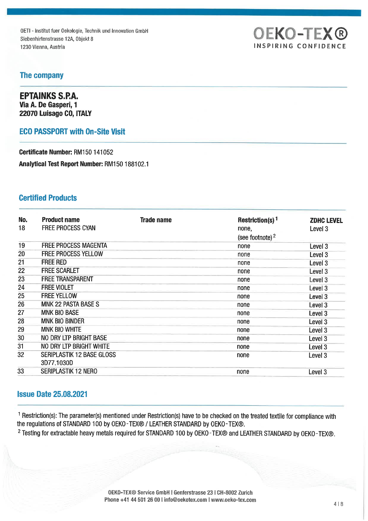OETI - Institut fuer Oekologie, Technik und Innovation GmbH Siebenhirtenstrasse 12A, Objekt 8 1230 Vienna, Austria



#### The Company

EPTAINKS S.P.A. Via A. De Gasperi, 1 22070 Luisago CO, ITALY

#### EGO PASSPORT with On-Site Visit

Certificate Number: RM150 141052 Analytical Test Report Number: RM150 188102.1

#### Certified Products

| No.<br>18 | <b>Product name</b><br><b>FREE PROCESS CYAN</b> | Trade name | Restriction(s) <sup>1</sup><br>none,<br>(see footnote) <sup>2</sup> | <b>ZDHC LEVEL</b><br>Level <sub>3</sub> |
|-----------|-------------------------------------------------|------------|---------------------------------------------------------------------|-----------------------------------------|
| 19        | <b>FREE PROCESS MAGENTA</b>                     |            | none                                                                | Level 3                                 |
| 20        | <b>FREE PROCESS YELLOW</b>                      |            | none                                                                | Level <sub>3</sub>                      |
| 21        | <b>FREE RED</b>                                 |            | none                                                                | Level <sub>3</sub>                      |
| 22        | <b>FREE SCARLET</b>                             |            | none                                                                | Level 3                                 |
| 23        | <b>FREE TRANSPARENT</b>                         |            | none                                                                | Level 3                                 |
| 24        | <b>FREE VIOLET</b>                              |            | none                                                                | Level 3                                 |
| 25        | <b>FREE YELLOW</b>                              |            | none                                                                | Level 3                                 |
| 26        | <b>MNK 22 PASTA BASE S</b>                      |            | none                                                                | Level 3                                 |
| 27        | <b>MNK BIO BASE</b>                             |            | none                                                                | Level 3                                 |
| 28        | <b>MNK BIO BINDER</b>                           |            | none                                                                | Level 3                                 |
| 29        | <b>MNK BIO WHITE</b>                            |            | none                                                                | Level 3                                 |
| 30        | <b>NO DRY LTP BRIGHT BASE</b>                   |            | none                                                                | Level 3                                 |
| 31        | NO DRY LTP BRIGHT WHITE                         |            | none                                                                | Level <sub>3</sub>                      |
| 32        | SERIPLASTIK 12 BASE GLOSS<br>3D77.1030D         |            | none                                                                | Level 3                                 |
| 33        | <b>SERIPLASTIK 12 NERO</b>                      |            | none                                                                | Level 3                                 |

#### Issue Date 25.08.2021

1 Restriction(s): The parameter(s) mentioned under Restriction(s) have to be checked on the treated textile for compliance with the regulations of STANDARD 100 by OEKO-TEX® / LEATHER STANDARD by OEKO-TEX®.

2 Testing for extractable heavy metals required for STANDARD 100 by OEKO-TEX® and LEATHER STANDARD by OEKO-TEX®.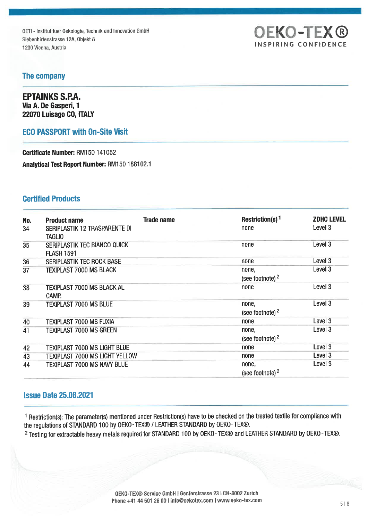OETI - Institut fuer Oekologie, Technik und Innovation GmbH Siebenhirtenstrasse 12A, Objekt 8 1230 Vienna, Austria

# OEKO-TEX® INSPIRING CONFIDENCE

#### The Company

EPTAINKS S.P.A. Via A. De Gasperi, 1 22070 Luisago CO, ITALY

#### EGO PASSPORT with On-Site Visit

Certificate Number: RM150 141052 Analytical Test Report Number: RM150 188102.1

#### Certified Products

| No.<br>34 | <b>Product name</b><br>SERIPLASTIK 12 TRASPARENTE DI<br><b>TAGLIO</b> | <b>Trade name</b> | Restriction(s) <sup>1</sup><br>none  | <b>ZDHC LEVEL</b><br>Level 3 |
|-----------|-----------------------------------------------------------------------|-------------------|--------------------------------------|------------------------------|
| 35        | SERIPLASTIK TEC BIANCO QUICK<br><b>FLASH 1591</b>                     |                   | none                                 | Level 3                      |
| 36        | SERIPLASTIK TEC ROCK BASE                                             |                   | none                                 | Level 3                      |
| 37        | <b>TEXIPLAST 7000 MS BLACK</b>                                        |                   | none,<br>(see footnote) $2$          | Level 3                      |
| 38        | TEXIPLAST 7000 MS BLACK AL<br>CAMP.                                   |                   | none                                 | Level <sub>3</sub>           |
| 39        | <b>TEXIPLAST 7000 MS BLUE</b>                                         |                   | none,<br>(see footnote) $2$          | Level 3                      |
| 40        | <b>TEXIPLAST 7000 MS FUXIA</b>                                        |                   | none                                 | Level 3                      |
| 41        | <b>TEXIPLAST 7000 MS GREEN</b>                                        |                   | none,<br>(see footnote) <sup>2</sup> | Level 3                      |
| 42        | <b>TEXIPLAST 7000 MS LIGHT BLUE</b>                                   |                   | none                                 | Level 3                      |
| 43        | TEXIPLAST 7000 MS LIGHT YELLOW                                        |                   | none                                 | Level <sub>3</sub>           |
| 44        | TEXIPLAST 7000 MS NAVY BLUE                                           |                   | none,<br>(see footnote) $2$          | Level 3                      |

#### Issue Date 25. 08. 2021

1 Restriction(s): The parameter(s) mentioned under Restriction(s) have to be checked on the treated textile for compliance with the regulations of STANDARD 100 by OEKO-TEX® / LEATHER STANDARD by OEKO-TEX®.

<sup>2</sup> Testing for extractable heavy metals required for STANDARD 100 by OEKO-TEX® and LEATHER STANDARD by OEKO-TEX®.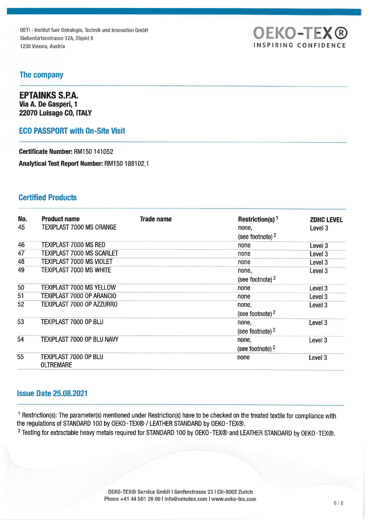OETI - Institut fuer Oekologie, Technik und Innovation GmbH Siebenhirtenstrasse 12A, Objekt 8 1230 Vienna, Austria **INSPIRING CONFIDENCE** 

# OEKO-TEX®

#### The Company

EPTAINKS S.P.A. Via A. De Gasperi, 1 22070 Luisago CO, ITALY

#### EGO PASSPORT with On-Site Visit

Certificate Number: RM150 141052

Analytical Test Report Number: RM150 188102.1

#### Certified Products

| No. | <b>Product name</b>              | <b>Trade name</b> | Restriction(s) <sup>1</sup> | <b>ZDHC LEVEL</b>  |
|-----|----------------------------------|-------------------|-----------------------------|--------------------|
| 45  | <b>TEXIPLAST 7000 MS ORANGE</b>  |                   | none,                       | Level 3            |
|     |                                  |                   | (see footnote) <sup>2</sup> |                    |
| 46  | <b>TEXIPLAST 7000 MS RED</b>     |                   | none                        | Level 3            |
| 47  | <b>TEXIPLAST 7000 MS SCARLET</b> |                   | none                        | Level <sub>3</sub> |
| 48  | <b>TEXIPLAST 7000 MS VIOLET</b>  |                   | none                        | Level 3            |
| 49  | <b>TEXIPLAST 7000 MS WHITE</b>   |                   | none,                       | Level <sub>3</sub> |
|     |                                  |                   | (see footnote) $2$          |                    |
| 50  | <b>TEXIPLAST 7000 MS YELLOW</b>  |                   | none                        | Level 3            |
| 51  | TEXIPLAST 7000 OP ARANCIO        |                   | none                        | Level 3            |
| 52  | TEXIPLAST 7000 OP AZZURRO        |                   | none,                       | Level 3            |
|     |                                  |                   | (see footnote) $2$          |                    |
| 53  | TEXIPLAST 7000 OP BLU            |                   | none,                       | Level <sub>3</sub> |
|     |                                  |                   | (see footnote) $2$          |                    |
| 54  | TEXIPLAST 7000 OP BLU NAVY       |                   | none,                       | Level 3            |
|     |                                  |                   | (see footnote) $2$          |                    |
| 55  | TEXIPLAST 7000 OP BLU            |                   | none                        | Level 3            |
|     | <b>OLTREMARE</b>                 |                   |                             |                    |

#### Issue Date 25. 08.2021

1 Restriction(s): The parameter(s) mentioned under Restriction(s) have to be checked on the treated textile for compliance with the regulations of STANDARD 100 by OEKO-TEX® / LEATHER STANDARD by OEKO-TEX®.

<sup>2</sup> Testing for extractable heavy metals required for STANDARD 100 by OEKO-TEX® and LEATHER STANDARD by OEKO-TEX®.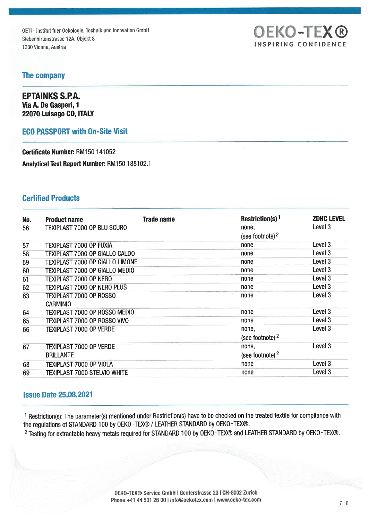OETI - Institut fuer Oekologie, Technik und Innovation GmbH Siebenhirtenstrasse 12A, Objekt 8 1230 Vicnna, Austria Inc., Colonia Inc., Colonia Inc., Colonia Inc., Colonia Inc., Colonia Inc., Colonia Inc., Colonia Inc., Colonia Inc., Colonia Inc., Colonia Inc., Colonia Inc., Colonia Inc., Colonia Inc., Colonia Inc.,

# OEKO-TEX®

#### The Company

EPTAINKS S.P.A. Via A. De Gasperi, 1 22070 Luisago CO, ITALY

#### EGO PASSPORT with On-Site Visit

Certificate Number: RM150 141052 Analytical Test Report Number: RM150 188102.1

#### Certified Products

| No. | <b>Product name</b>                    | <b>Trade name</b> | Restriction(s) <sup>1</sup> | <b>ZDHC LEVEL</b>  |
|-----|----------------------------------------|-------------------|-----------------------------|--------------------|
| 56  | TEXIPLAST 7000 OP BLU SCURO            |                   | none,                       | Level 3            |
|     |                                        |                   | (see footnote) $2$          |                    |
| 57  | TEXIPLAST 7000 OP FUXIA                |                   | none                        | Level <sub>3</sub> |
| 58  | TEXIPLAST 7000 OP GIALLO CALDO         |                   | none                        | Level 3            |
| 59  | <b>TEXIPLAST 7000 OP GIALLO LIMONE</b> |                   | none                        | Level 3            |
| 60  | <b>TEXIPLAST 7000 OP GIALLO MEDIO</b>  |                   | none                        | Level 3            |
| 61  | TEXIPLAST 7000 OP NERO                 |                   | none                        | Level 3            |
| 62  | TEXIPLAST 7000 OP NERO PLUS            |                   | none                        | Level 3            |
| 63  | TEXIPLAST 7000 OP ROSSO                |                   | none                        | Level 3            |
|     | <b>CARMINIO</b>                        |                   |                             |                    |
| 64  | TEXIPLAST 7000 OP ROSSO MEDIO          |                   | none                        | Level 3            |
| 65  | TEXIPLAST 7000 OP ROSSO VIVO           |                   | none                        | Level <sub>3</sub> |
| 66  | <b>TEXIPLAST 7000 OP VERDE</b>         |                   | none,                       | Level 3            |
|     |                                        |                   | (see footnote) $2$          |                    |
| 67  | <b>TEXIPLAST 7000 OP VERDE</b>         |                   | none,                       | Level 3            |
|     | <b>BRILLANTE</b>                       |                   | (see footnote) $2$          |                    |
| 68  | TEXIPLAST 7000 OP VIOLA                |                   | none                        | Level 3            |
| 69  | <b>TEXIPLAST 7000 STELVIO WHITE</b>    |                   | none                        | Level 3            |

#### Issue Date 25. 08. 2021

<sup>1</sup> Restriction(s): The parameter(s) mentioned under Restriction(s) have to be checked on the treated textile for compliance with the regulations of STANDARD 100 by OEKO-TEX® / LEATHER STANDARD by OEKO-TEX®.

<sup>2</sup> Testing for extractable heavy metals required for STANDARD 100 by OEKO-TEX® and LEATHER STANDARD by OEKO-TEX®.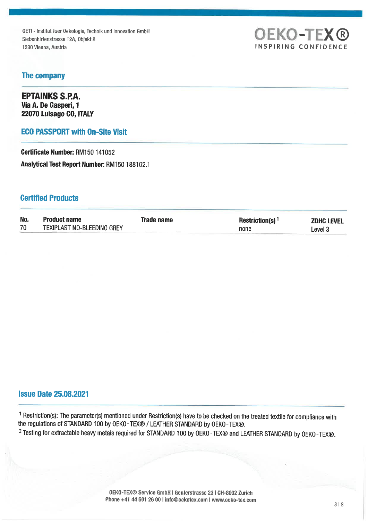OETI - Institut fuer Oekologie, Technik und Innovation GmbH Siebenhirtenstrasse 12A, Objekt 8 1230 Vienna, Austria **INSPIRING CONFIDENCE** 



#### The Company

EPTAINKS S.P.A. Via A. De Gasperi, 1 22070 Luisago CO, ITALY

#### EGO PASSPORT with On-Site Visit

Certificate Number: RM150 141052 Analytical Test Report Number: RM150 188102.1

#### Certified Products

| No. | <b>Product name</b>        | Trade name | Restriction(s) <sup>1</sup> | <b>ZDHC LEVEL</b> |
|-----|----------------------------|------------|-----------------------------|-------------------|
| 70  | TEXIPLAST NO-BLEEDING GREY |            | none                        | _evel 3           |

#### Issue Date 25.08.2021

1 Restriction(s): The parameter(s) mentioned under Restriction(s) have to be checked on the treated textile for compliance with the regulations of STANDARD 100 by OEKO-TEX® / LEATHER STANDARD by OEKO-TEX®. 2 Testing for extractable heavy metals required for STANDARD 100 by OEKO-TEX® and LEATHER STANDARD by OEKO-TEX®.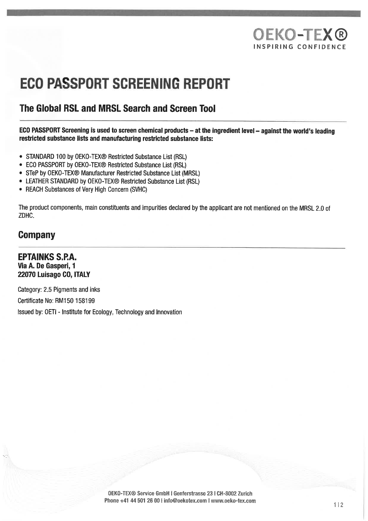# OEKO-TEX® INSPIRING CONFIDENCE

# **ECO PASSPORT SCREENING REPORT**

### The Global RSL and MRSL Search and Screen Tool

ECO PASSPORT Screening is used to screen chemical products - at the ingredient level - against the world's leading restricted substance lists and manufacturing restricted substance lists:

- . STANDARD 100 by OEKO-TEX® Restricted Substance List (RSL)
- . ECO PASSPORT by OEKO-TEX® Restricted Substance List (RSL)
- . STeP by OEKO-TEX® Manufacturer Restricted Substance List (MRSL)
- LEATHER STANDARD by OEKO-TEX® Restricted Substance List (RSL)
- . REACH Substances of Very High Concern (SVHC)

The product components, main constituents and impurities declared by the applicant are not mentioned on the MRSL 2.0 of ZDHC.

### Company

EPTAINKS S.P.A. Via A. De Gasperi, 1 22070 Luisago CO, ITALY

Category: 2.5 Pigments and inks Certificate No: RM150 158199 Issued by: OETI - Institute for Ecology, Technology and Innovation

> OEKO-TEX® Service GmbH l Genferstrasse 23 l CH-8002 Zürich Phone +41 44 501 26 00 i info@oekotex.com I www.oeko-tex.com